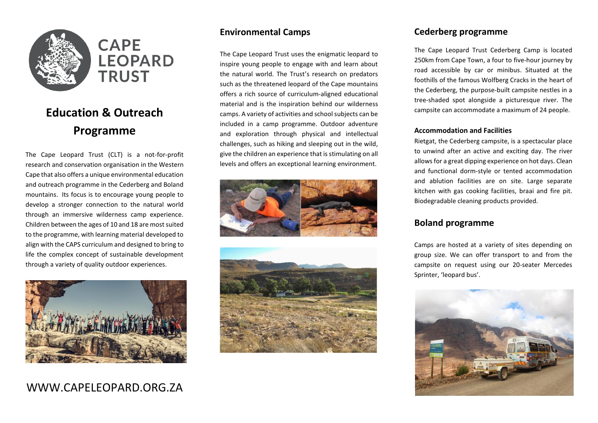

# **Education & Outreach Programme**

The Cape Leopard Trust (CLT) is a not-for-profit research and conservation organisation in the Western Cape that also offers a unique environmental education and outreach programme in the Cederberg and Boland mountains. Its focus is to encourage young people to develop a stronger connection to the natural world through an immersive wilderness camp experience. Children between the ages of 10 and 18 are most suited to the programme, with learning material developed to align with the CAPS curriculum and designed to bring to life the complex concept of sustainable development through a variety of quality outdoor experiences.



# WWW.CAPELEOPARD.ORG.ZA

### **Environmental Camps**

The Cape Leopard Trust uses the enigmatic leopard to inspire young people to engage with and learn about the natural world. The Trust's research on predators such as the threatened leopard of the Cape mountains offers a rich source of curriculum-aligned educational material and is the inspiration behind our wilderness camps. A variety of activities and school subjects can be included in a camp programme. Outdoor adventure and exploration through physical and intellectual challenges, such as hiking and sleeping out in the wild, give the children an experience that is stimulating on all levels and offers an exceptional learning environment.





### **Cederberg programme**

The Cape Leopard Trust Cederberg Camp is located 250km from Cape Town, a four to five-hour journey by road accessible by car or minibus. Situated at the foothills of the famous Wolfberg Cracks in the heart of the Cederberg, the purpose-built campsite nestles in a tree-shaded spot alongside a picturesque river. The campsite can accommodate a maximum of 24 people.

#### **Accommodation and Facilities**

Rietgat, the Cederberg campsite, is a spectacular place to unwind after an active and exciting day. The river allows for a great dipping experience on hot days. Clean and functional dorm-style or tented accommodation and ablution facilities are on site. Large separate kitchen with gas cooking facilities, braai and fire pit. Biodegradable cleaning products provided.

### **Boland programme**

Camps are hosted at a variety of sites depending on group size. We can offer transport to and from the campsite on request using our 20-seater Mercedes Sprinter, 'leopard bus'.